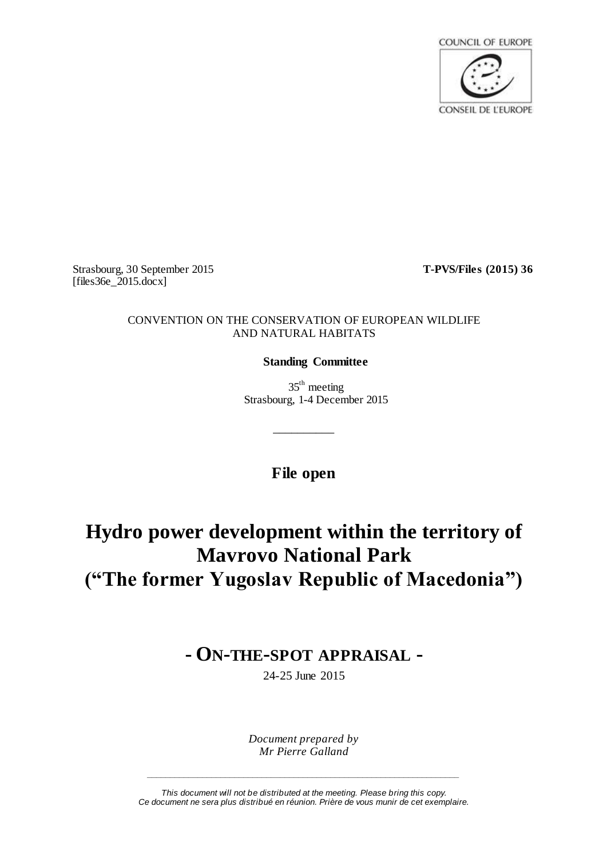

Strasbourg, 30 September 2015 **T-PVS/Files (2015) 36**  $[files36e_2015.docx]$ 

## CONVENTION ON THE CONSERVATION OF EUROPEAN WILDLIFE AND NATURAL HABITATS

# **Standing Committee**

 $35<sup>th</sup>$  meeting Strasbourg, 1-4 December 2015

**File open**

\_\_\_\_\_\_\_\_\_\_

**Hydro power development within the territory of Mavrovo National Park ("The former Yugoslav Republic of Macedonia")**

# **- ON-THE-SPOT APPRAISAL -**

24-25 June 2015

*Document prepared by Mr Pierre Galland*

*This document will not be distributed at the meeting. Please bring this copy. Ce document ne sera plus distribué en réunion. Prière de vous munir de cet exemplaire.*

*\_\_\_\_\_\_\_\_\_\_\_\_\_\_\_\_\_\_\_\_\_\_\_\_\_\_\_\_\_\_\_\_\_\_\_\_\_\_\_\_\_\_\_\_\_\_\_\_\_\_\_\_\_\_\_\_\_\_\_\_\_\_\_\_\_\_\_\_*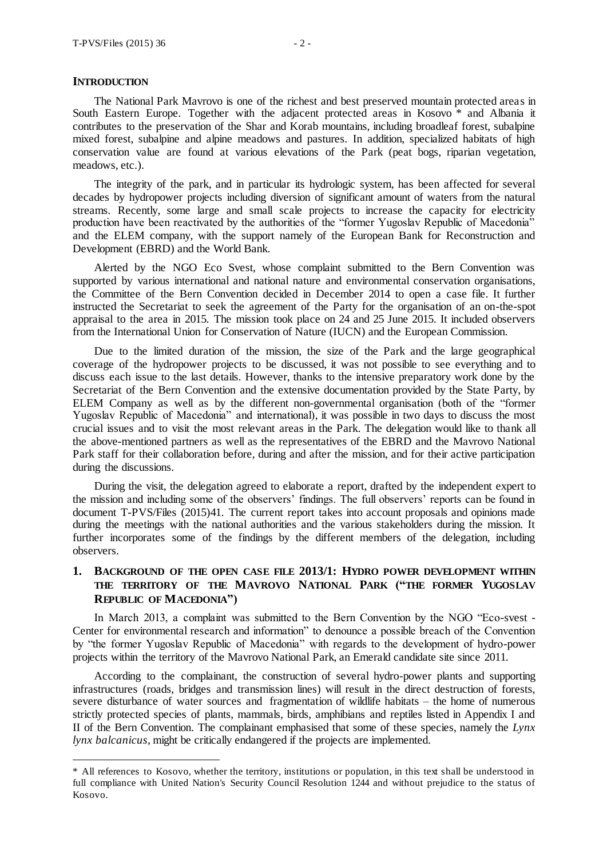#### **INTRODUCTION**

 $\overline{a}$ 

The National Park Mavrovo is one of the richest and best preserved mountain protected areas in South Eastern Europe. Together with the adjacent protected areas in Kosovo<sup>\*</sup> and Albania it contributes to the preservation of the Shar and Korab mountains, including broadleaf forest, subalpine mixed forest, subalpine and alpine meadows and pastures. In addition, specialized habitats of high conservation value are found at various elevations of the Park (peat bogs, riparian vegetation, meadows, etc.).

The integrity of the park, and in particular its hydrologic system, has been affected for several decades by hydropower projects including diversion of significant amount of waters from the natural streams. Recently, some large and small scale projects to increase the capacity for electricity production have been reactivated by the authorities of the "former Yugoslav Republic of Macedonia" and the ELEM company, with the support namely of the European Bank for Reconstruction and Development (EBRD) and the World Bank.

Alerted by the NGO Eco Svest, whose complaint submitted to the Bern Convention was supported by various international and national nature and environmental conservation organisations, the Committee of the Bern Convention decided in December 2014 to open a case file. It further instructed the Secretariat to seek the agreement of the Party for the organisation of an on-the-spot appraisal to the area in 2015. The mission took place on 24 and 25 June 2015. It included observers from the International Union for Conservation of Nature (IUCN) and the European Commission.

Due to the limited duration of the mission, the size of the Park and the large geographical coverage of the hydropower projects to be discussed, it was not possible to see everything and to discuss each issue to the last details. However, thanks to the intensive preparatory work done by the Secretariat of the Bern Convention and the extensive documentation provided by the State Party, by ELEM Company as well as by the different non-governmental organisation (both of the "former Yugoslav Republic of Macedonia" and international), it was possible in two days to discuss the most crucial issues and to visit the most relevant areas in the Park. The delegation would like to thank all the above-mentioned partners as well as the representatives of the EBRD and the Mavrovo National Park staff for their collaboration before, during and after the mission, and for their active participation during the discussions.

During the visit, the delegation agreed to elaborate a report, drafted by the independent expert to the mission and including some of the observers' findings. The full observers' reports can be found in document T-PVS/Files (2015)41. The current report takes into account proposals and opinions made during the meetings with the national authorities and the various stakeholders during the mission. It further incorporates some of the findings by the different members of the delegation, including observers.

## **1. BACKGROUND OF THE OPEN CASE FILE 2013/1: HYDRO POWER DEVELOPMENT WITHIN THE TERRITORY OF THE MAVROVO NATIONAL PARK ("THE FORMER YUGOSLAV REPUBLIC OF MACEDONIA")**

In March 2013, a complaint was submitted to the Bern Convention by the NGO "Eco-svest - Center for environmental research and information" to denounce a possible breach of the Convention by "the former Yugoslav Republic of Macedonia" with regards to the development of hydro-power projects within the territory of the Mavrovo National Park, an Emerald candidate site since 2011.

According to the complainant, the construction of several hydro-power plants and supporting infrastructures (roads, bridges and transmission lines) will result in the direct destruction of forests, severe disturbance of water sources and fragmentation of wildlife habitats – the home of numerous strictly protected species of plants, mammals, birds, amphibians and reptiles listed in Appendix I and II of the Bern Convention. The complainant emphasised that some of these species, namely the *Lynx lynx balcanicus*, might be critically endangered if the projects are implemented.

<sup>\*</sup> <sup>1</sup>All references to Kosovo, whether the territory, institutions or population, in this text shall be understood in full compliance with United Nation's Security Council Resolution 1244 and without prejudice to the status of Kosovo.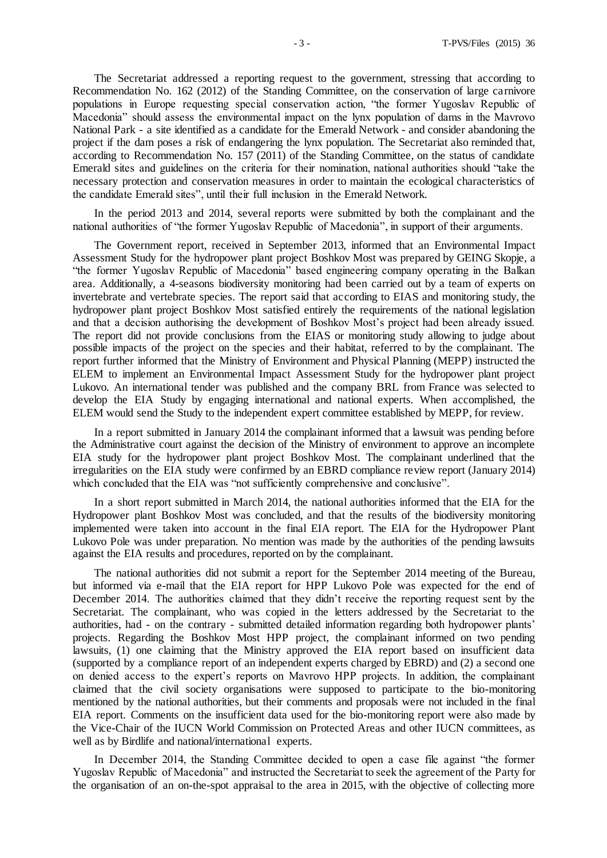The Secretariat addressed a reporting request to the government, stressing that according to Recommendation No. 162 (2012) of the Standing Committee, on the conservation of large carnivore populations in Europe requesting special conservation action, "the former Yugoslav Republic of Macedonia" should assess the environmental impact on the lynx population of dams in the Mavrovo National Park - a site identified as a candidate for the Emerald Network - and consider abandoning the project if the dam poses a risk of endangering the lynx population. The Secretariat also reminded that, according to Recommendation No. 157 (2011) of the Standing Committee, on the status of candidate Emerald sites and guidelines on the criteria for their nomination, national authorities should "take the necessary protection and conservation measures in order to maintain the ecological characteristics of the candidate Emerald sites", until their full inclusion in the Emerald Network.

In the period 2013 and 2014, several reports were submitted by both the complainant and the national authorities of "the former Yugoslav Republic of Macedonia", in support of their arguments.

The Government report, received in September 2013, informed that an Environmental Impact Assessment Study for the hydropower plant project Boshkov Most was prepared by GEING Skopje, a "the former Yugoslav Republic of Macedonia" based engineering company operating in the Balkan area. Additionally, a 4-seasons biodiversity monitoring had been carried out by a team of experts on invertebrate and vertebrate species. The report said that according to EIAS and monitoring study, the hydropower plant project Boshkov Most satisfied entirely the requirements of the national legislation and that a decision authorising the development of Boshkov Most's project had been already issued. The report did not provide conclusions from the EIAS or monitoring study allowing to judge about possible impacts of the project on the species and their habitat, referred to by the complainant. The report further informed that the Ministry of Environment and Physical Planning (MEPP) instructed the ELEM to implement an Environmental Impact Assessment Study for the hydropower plant project Lukovo. An international tender was published and the company BRL from France was selected to develop the EIA Study by engaging international and national experts. When accomplished, the ELEM would send the Study to the independent expert committee established by MEPP, for review.

In a report submitted in January 2014 the complainant informed that a lawsuit was pending before the Administrative court against the decision of the Ministry of environment to approve an incomplete EIA study for the hydropower plant project Boshkov Most. The complainant underlined that the irregularities on the EIA study were confirmed by an EBRD compliance review report (January 2014) which concluded that the EIA was "not sufficiently comprehensive and conclusive".

In a short report submitted in March 2014, the national authorities informed that the EIA for the Hydropower plant Boshkov Most was concluded, and that the results of the biodiversity monitoring implemented were taken into account in the final EIA report. The EIA for the Hydropower Plant Lukovo Pole was under preparation. No mention was made by the authorities of the pending lawsuits against the EIA results and procedures, reported on by the complainant.

The national authorities did not submit a report for the September 2014 meeting of the Bureau, but informed via e-mail that the EIA report for HPP Lukovo Pole was expected for the end of December 2014. The authorities claimed that they didn't receive the reporting request sent by the Secretariat. The complainant, who was copied in the letters addressed by the Secretariat to the authorities, had - on the contrary - submitted detailed information regarding both hydropower plants' projects. Regarding the Boshkov Most HPP project, the complainant informed on two pending lawsuits, (1) one claiming that the Ministry approved the EIA report based on insufficient data (supported by a compliance report of an independent experts charged by EBRD) and (2) a second one on denied access to the expert's reports on Mavrovo HPP projects. In addition, the complainant claimed that the civil society organisations were supposed to participate to the bio-monitoring mentioned by the national authorities, but their comments and proposals were not included in the final EIA report. Comments on the insufficient data used for the bio-monitoring report were also made by the Vice-Chair of the IUCN World Commission on Protected Areas and other IUCN committees, as well as by Birdlife and national/international experts.

In December 2014, the Standing Committee decided to open a case file against "the former Yugoslav Republic of Macedonia" and instructed the Secretariat to seek the agreement of the Party for the organisation of an on-the-spot appraisal to the area in 2015, with the objective of collecting more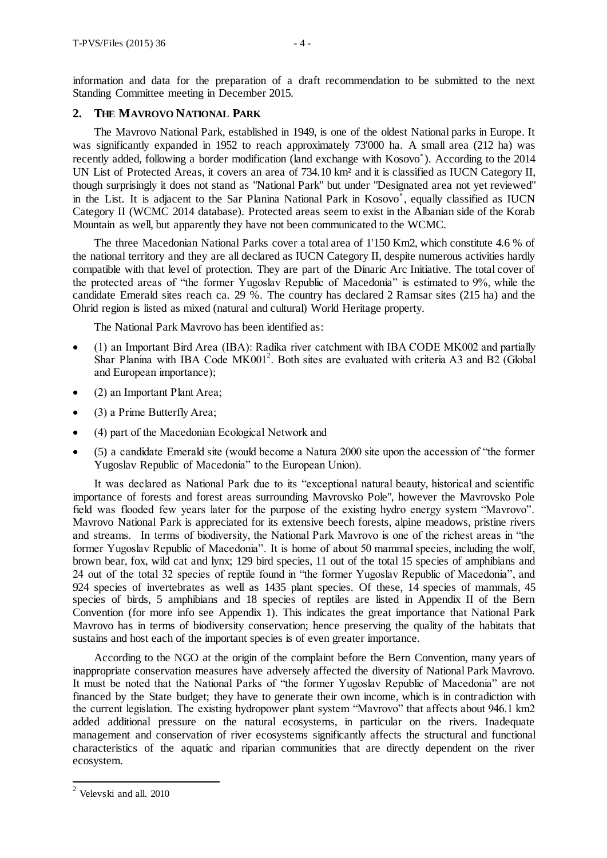information and data for the preparation of a draft recommendation to be submitted to the next Standing Committee meeting in December 2015.

## **2. THE MAVROVO NATIONAL PARK**

The Mavrovo National Park, established in 1949, is one of the oldest National parks in Europe. It was significantly expanded in 1952 to reach approximately 73'000 ha. A small area (212 ha) was recently added, following a border modification (land exchange with Kosovo ). According to the 2014 UN List of Protected Areas, it covers an area of 734.10 km² and it is classified as IUCN Category II, though surprisingly it does not stand as "National Park" but under "Designated area not yet reviewed" in the List. It is adjacent to the Sar Planina National Park in Kosovo , equally classified as IUCN Category II (WCMC 2014 database). Protected areas seem to exist in the Albanian side of the Korab Mountain as well, but apparently they have not been communicated to the WCMC.

The three Macedonian National Parks cover a total area of 1'150 Km2, which constitute 4.6 % of the national territory and they are all declared as IUCN Category II, despite numerous activities hardly compatible with that level of protection. They are part of the Dinaric Arc Initiative. The total cover of the protected areas of "the former Yugoslav Republic of Macedonia" is estimated to 9%, while the candidate Emerald sites reach ca. 29 %. The country has declared 2 Ramsar sites (215 ha) and the Ohrid region is listed as mixed (natural and cultural) World Heritage property.

The National Park Mavrovo has been identified as:

- (1) an Important Bird Area (IBA): Radika river catchment with IBA CODE MK002 and partially Shar Planina with IBA Code  $MK001^2$ . Both sites are evaluated with criteria A3 and B2 (Global and European importance);
- (2) an Important Plant Area;
- (3) a Prime Butterfly Area;
- (4) part of the Macedonian Ecological Network and
- (5) a candidate Emerald site (would become a Natura 2000 site upon the accession of "the former Yugoslav Republic of Macedonia" to the European Union).

It was declared as National Park due to its "exceptional natural beauty, historical and scientific importance of forests and forest areas surrounding Mavrovsko Pole", however the Mavrovsko Pole field was flooded few years later for the purpose of the existing hydro energy system "Mavrovo". Mavrovo National Park is appreciated for its extensive beech forests, alpine meadows, pristine rivers and streams. In terms of biodiversity, the National Park Mavrovo is one of the richest areas in "the former Yugoslav Republic of Macedonia". It is home of about 50 mammal species, including the wolf, brown bear, fox, wild cat and lynx; 129 bird species, 11 out of the total 15 species of amphibians and 24 out of the total 32 species of reptile found in "the former Yugoslav Republic of Macedonia", and 924 species of invertebrates as well as 1435 plant species. Of these, 14 species of mammals, 45 species of birds, 5 amphibians and 18 species of reptiles are listed in Appendix II of the Bern Convention (for more info see Appendix 1). This indicates the great importance that National Park Mavrovo has in terms of biodiversity conservation; hence preserving the quality of the habitats that sustains and host each of the important species is of even greater importance.

According to the NGO at the origin of the complaint before the Bern Convention, many years of inappropriate conservation measures have adversely affected the diversity of National Park Mavrovo. It must be noted that the National Parks of "the former Yugoslav Republic of Macedonia" are not financed by the State budget; they have to generate their own income, which is in contradiction with the current legislation. The existing hydropower plant system "Mavrovo" that affects about 946.1 km2 added additional pressure on the natural ecosystems, in particular on the rivers. Inadequate management and conservation of river ecosystems significantly affects the structural and functional characteristics of the aquatic and riparian communities that are directly dependent on the river ecosystem.

 $\overline{1}$ 

 $2$  Velevski and all. 2010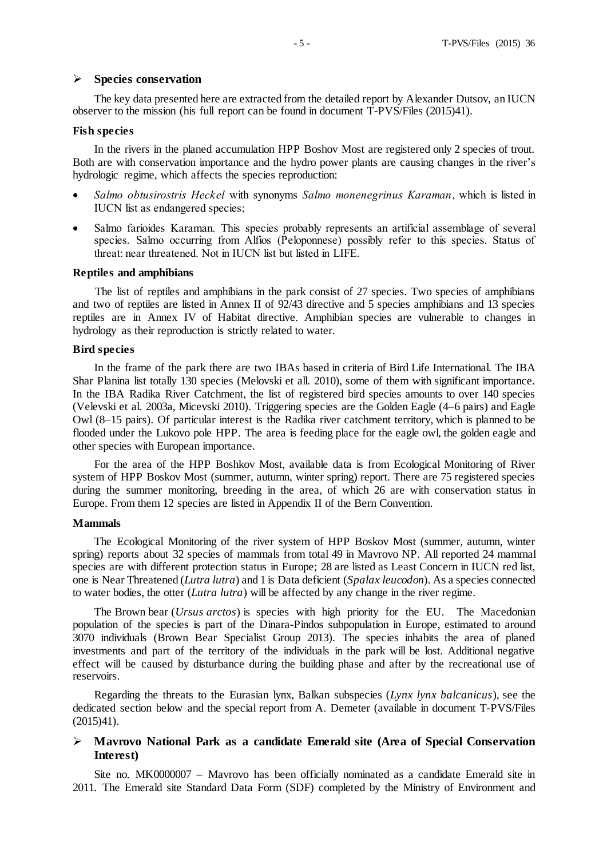#### **Species conservation**

The key data presented here are extracted from the detailed report by Alexander Dutsov, an IUCN observer to the mission (his full report can be found in document T-PVS/Files (2015)41).

#### **Fish species**

In the rivers in the planed accumulation HPP Boshov Most are registered only 2 species of trout. Both are with conservation importance and the hydro power plants are causing changes in the river's hydrologic regime, which affects the species reproduction:

- *Salmo obtusirostris Heckel* with synonyms *Salmo monenegrinus Karaman*, which is listed in IUCN list as endangered species;
- Salmo farioides Karaman. This species probably represents an artificial assemblage of several species. Salmo occurring from Alfios (Peloponnese) possibly refer to this species. Status of threat: near threatened. Not in IUCN list but listed in LIFE.

#### **Reptiles and amphibians**

The list of reptiles and amphibians in the park consist of 27 species. Two species of amphibians and two of reptiles are listed in Annex II of 92/43 directive and 5 species amphibians and 13 species reptiles are in Annex IV of Habitat directive. Amphibian species are vulnerable to changes in hydrology as their reproduction is strictly related to water.

#### **Bird species**

In the frame of the park there are two IBAs based in criteria of Bird Life International. The IBA Shar Planina list totally 130 species (Melovski et all. 2010), some of them with significant importance. In the IBA Radika River Catchment, the list of registered bird species amounts to over 140 species (Velevski et al. 2003a, Micevski 2010). Triggering species are the Golden Eagle (4–6 pairs) and Eagle Owl (8–15 pairs). Of particular interest is the Radika river catchment territory, which is planned to be flooded under the Lukovo pole HPP. The area is feeding place for the eagle owl, the golden eagle and other species with European importance.

For the area of the HPP Boshkov Most, available data is from Ecological Monitoring of River system of HPP Boskov Most (summer, autumn, winter spring) report. There are 75 registered species during the summer monitoring, breeding in the area, of which 26 are with conservation status in Europe. From them 12 species are listed in Appendix II of the Bern Convention.

#### **Mammals**

The Ecological Monitoring of the river system of HPP Boskov Most (summer, autumn, winter spring) reports about 32 species of mammals from total 49 in Mavrovo NP. All reported 24 mammal species are with different protection status in Europe; 28 are listed as Least Concern in IUCN red list, one is Near Threatened (*Lutra lutra*) and 1 is Data deficient (*Spalax leucodon*). As a species connected to water bodies, the otter (*Lutra lutra*) will be affected by any change in the river regime.

The Brown bear (*Ursus arctos*) is species with high priority for the EU. The Macedonian population of the species is part of the Dinara-Pindos subpopulation in Europe, estimated to around 3070 individuals (Brown Bear Specialist Group 2013). The species inhabits the area of planed investments and part of the territory of the individuals in the park will be lost. Additional negative effect will be caused by disturbance during the building phase and after by the recreational use of reservoirs.

Regarding the threats to the Eurasian lynx, Balkan subspecies (*Lynx lynx balcanicus*), see the dedicated section below and the special report from A. Demeter (available in document T-PVS/Files (2015)41).

## **Mavrovo National Park as a candidate Emerald site (Area of Special Conservation Interest)**

Site no. MK0000007 – Mavrovo has been officially nominated as a candidate Emerald site in 2011. The Emerald site Standard Data Form (SDF) completed by the Ministry of Environment and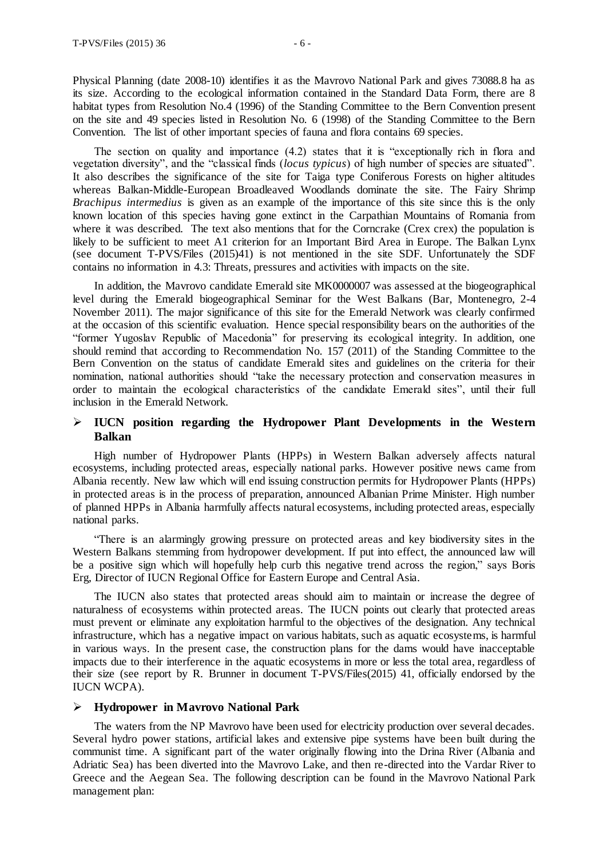Physical Planning (date 2008-10) identifies it as the Mavrovo National Park and gives 73088.8 ha as its size. According to the ecological information contained in the Standard Data Form, there are 8 habitat types from Resolution No.4 (1996) of the Standing Committee to the Bern Convention present on the site and 49 species listed in Resolution No. 6 (1998) of the Standing Committee to the Bern Convention. The list of other important species of fauna and flora contains 69 species.

The section on quality and importance (4.2) states that it is "exceptionally rich in flora and vegetation diversity", and the "classical finds (*locus typicus*) of high number of species are situated". It also describes the significance of the site for Taiga type Coniferous Forests on higher altitudes whereas Balkan-Middle-European Broadleaved Woodlands dominate the site. The Fairy Shrimp *Brachipus intermedius* is given as an example of the importance of this site since this is the only known location of this species having gone extinct in the Carpathian Mountains of Romania from where it was described. The text also mentions that for the Corncrake (Crex crex) the population is likely to be sufficient to meet A1 criterion for an Important Bird Area in Europe. The Balkan Lynx (see document T-PVS/Files (2015)41) is not mentioned in the site SDF. Unfortunately the SDF contains no information in 4.3: Threats, pressures and activities with impacts on the site.

In addition, the Mavrovo candidate Emerald site MK0000007 was assessed at the biogeographical level during the Emerald biogeographical Seminar for the West Balkans (Bar, Montenegro, 2-4 November 2011). The major significance of this site for the Emerald Network was clearly confirmed at the occasion of this scientific evaluation. Hence special responsibility bears on the authorities of the "former Yugoslav Republic of Macedonia" for preserving its ecological integrity. In addition, one should remind that according to Recommendation No. 157 (2011) of the Standing Committee to the Bern Convention on the status of candidate Emerald sites and guidelines on the criteria for their nomination, national authorities should "take the necessary protection and conservation measures in order to maintain the ecological characteristics of the candidate Emerald sites", until their full inclusion in the Emerald Network.

## **IUCN position regarding the Hydropower Plant Developments in the Western Balkan**

High number of Hydropower Plants (HPPs) in Western Balkan adversely affects natural ecosystems, including protected areas, especially national parks. However positive news came from Albania recently. New law which will end issuing construction permits for Hydropower Plants (HPPs) in protected areas is in the process of preparation, announced Albanian Prime Minister. High number of planned HPPs in Albania harmfully affects natural ecosystems, including protected areas, especially national parks.

"There is an alarmingly growing pressure on protected areas and key biodiversity sites in the Western Balkans stemming from hydropower development. If put into effect, the announced law will be a positive sign which will hopefully help curb this negative trend across the region," says Boris Erg, Director of IUCN Regional Office for Eastern Europe and Central Asia.

The IUCN also states that protected areas should aim to maintain or increase the degree of naturalness of ecosystems within protected areas. The IUCN points out clearly that protected areas must prevent or eliminate any exploitation harmful to the objectives of the designation. Any technical infrastructure, which has a negative impact on various habitats, such as aquatic ecosystems, is harmful in various ways. In the present case, the construction plans for the dams would have inacceptable impacts due to their interference in the aquatic ecosystems in more or less the total area, regardless of their size (see report by R. Brunner in document T-PVS/Files(2015) 41, officially endorsed by the IUCN WCPA).

## **Hydropower in Mavrovo National Park**

The waters from the NP Mavrovo have been used for electricity production over several decades. Several hydro power stations, artificial lakes and extensive pipe systems have been built during the communist time. A significant part of the water originally flowing into the Drina River (Albania and Adriatic Sea) has been diverted into the Mavrovo Lake, and then re-directed into the Vardar River to Greece and the Aegean Sea. The following description can be found in the Mavrovo National Park management plan: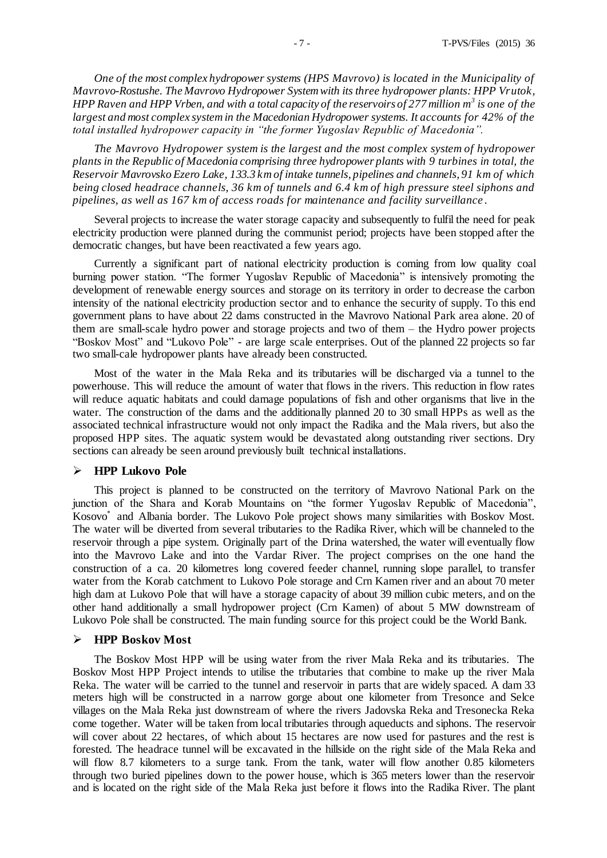*One of the most complex hydropower systems (HPS Mavrovo) is located in the Municipality of Mavrovo-Rostushe. The Mavrovo Hydropower System with its three hydropower plants: HPP Vrutok, HPP Raven and HPP Vrben, and with a total capacity of the reservoirs of 277 million m<sup>3</sup> is one of the largest and most complex system in the Macedonian Hydropower systems. It accounts for 42% of the total installed hydropower capacity in "the former Yugoslav Republic of Macedonia".* 

*The Mavrovo Hydropower system is the largest and the most complex system of hydropower plants in the Republic of Macedonia comprising three hydropower plants with 9 turbines in total, the Reservoir Mavrovsko Ezero Lake, 133.3 km of intake tunnels, pipelines and channels, 91 km of which being closed headrace channels, 36 km of tunnels and 6.4 km of high pressure steel siphons and pipelines, as well as 167 km of access roads for maintenance and facility surveillance* .

Several projects to increase the water storage capacity and subsequently to fulfil the need for peak electricity production were planned during the communist period; projects have been stopped after the democratic changes, but have been reactivated a few years ago.

Currently a significant part of national electricity production is coming from low quality coal burning power station. "The former Yugoslav Republic of Macedonia" is intensively promoting the development of renewable energy sources and storage on its territory in order to decrease the carbon intensity of the national electricity production sector and to enhance the security of supply. To this end government plans to have about 22 dams constructed in the Mavrovo National Park area alone. 20 of them are small-scale hydro power and storage projects and two of them – the Hydro power projects "Boskov Most" and "Lukovo Pole" - are large scale enterprises. Out of the planned 22 projects so far two small-cale hydropower plants have already been constructed.

Most of the water in the Mala Reka and its tributaries will be discharged via a tunnel to the powerhouse. This will reduce the amount of water that flows in the rivers. This reduction in flow rates will reduce aquatic habitats and could damage populations of fish and other organisms that live in the water. The construction of the dams and the additionally planned 20 to 30 small HPPs as well as the associated technical infrastructure would not only impact the Radika and the Mala rivers, but also the proposed HPP sites. The aquatic system would be devastated along outstanding river sections. Dry sections can already be seen around previously built technical installations.

#### **HPP Lukovo Pole**

This project is planned to be constructed on the territory of Mavrovo National Park on the junction of the Shara and Korab Mountains on "the former Yugoslav Republic of Macedonia", Kosovo\* and Albania border. The Lukovo Pole project shows many similarities with Boskov Most. The water will be diverted from several tributaries to the Radika River, which will be channeled to the reservoir through a pipe system. Originally part of the Drina watershed, the water will eventually flow into the Mavrovo Lake and into the Vardar River. The project comprises on the one hand the construction of a ca. 20 kilometres long covered feeder channel, running slope parallel, to transfer water from the Korab catchment to Lukovo Pole storage and Crn Kamen river and an about 70 meter high dam at Lukovo Pole that will have a storage capacity of about 39 million cubic meters, and on the other hand additionally a small hydropower project (Crn Kamen) of about 5 MW downstream of Lukovo Pole shall be constructed. The main funding source for this project could be the World Bank.

#### **HPP Boskov Most**

The Boskov Most HPP will be using water from the river Mala Reka and its tributaries. The Boskov Most HPP Project intends to utilise the tributaries that combine to make up the river Mala Reka. The water will be carried to the tunnel and reservoir in parts that are widely spaced. A dam 33 meters high will be constructed in a narrow gorge about one kilometer from Tresonce and Selce villages on the Mala Reka just downstream of where the rivers Jadovska Reka and Tresonecka Reka come together. Water will be taken from local tributaries through aqueducts and siphons. The reservoir will cover about 22 hectares, of which about 15 hectares are now used for pastures and the rest is forested. The headrace tunnel will be excavated in the hillside on the right side of the Mala Reka and will flow 8.7 kilometers to a surge tank. From the tank, water will flow another 0.85 kilometers through two buried pipelines down to the power house, which is 365 meters lower than the reservoir and is located on the right side of the Mala Reka just before it flows into the Radika River. The plant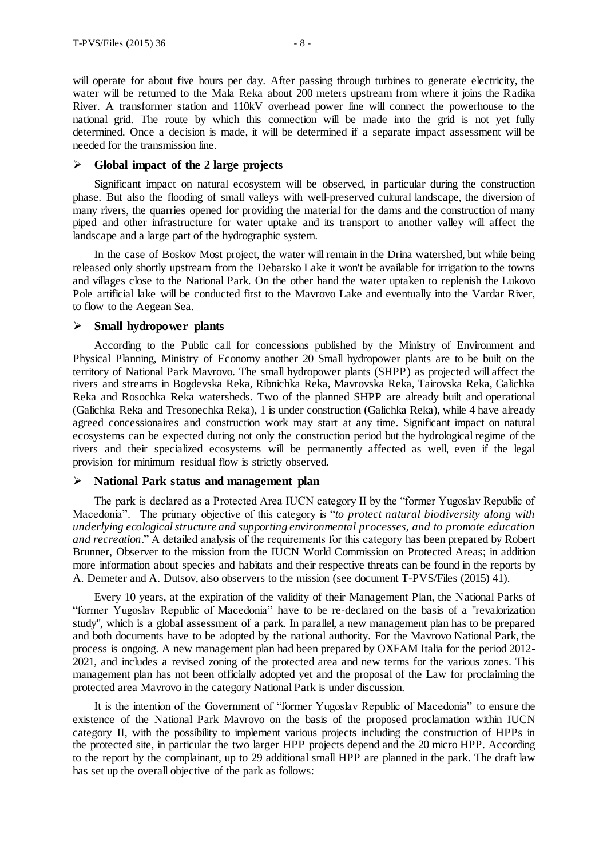will operate for about five hours per day. After passing through turbines to generate electricity, the water will be returned to the Mala Reka about 200 meters upstream from where it joins the Radika River. A transformer station and 110kV overhead power line will connect the powerhouse to the national grid. The route by which this connection will be made into the grid is not yet fully determined. Once a decision is made, it will be determined if a separate impact assessment will be needed for the transmission line.

#### **Global impact of the 2 large projects**

Significant impact on natural ecosystem will be observed, in particular during the construction phase. But also the flooding of small valleys with well-preserved cultural landscape, the diversion of many rivers, the quarries opened for providing the material for the dams and the construction of many piped and other infrastructure for water uptake and its transport to another valley will affect the landscape and a large part of the hydrographic system.

In the case of Boskov Most project, the water will remain in the Drina watershed, but while being released only shortly upstream from the Debarsko Lake it won't be available for irrigation to the towns and villages close to the National Park. On the other hand the water uptaken to replenish the Lukovo Pole artificial lake will be conducted first to the Mavrovo Lake and eventually into the Vardar River, to flow to the Aegean Sea.

## **Small hydropower plants**

According to the Public call for concessions published by the Ministry of Environment and Physical Planning, Ministry of Economy another 20 Small hydropower plants are to be built on the territory of National Park Mavrovo. The small hydropower plants (SHPP) as projected will affect the rivers and streams in Bogdevska Reka, Ribnichka Reka, Mavrovska Reka, Tairovska Reka, Galichka Reka and Rosochka Reka watersheds. Two of the planned SHPP are already built and operational (Galichka Reka and Tresonechka Reka), 1 is under construction (Galichka Reka), while 4 have already agreed concessionaires and construction work may start at any time. Significant impact on natural ecosystems can be expected during not only the construction period but the hydrological regime of the rivers and their specialized ecosystems will be permanently affected as well, even if the legal provision for minimum residual flow is strictly observed.

## **National Park status and management plan**

The park is declared as a Protected Area IUCN category II by the "former Yugoslav Republic of Macedonia". The primary objective of this category is "*to protect natural biodiversity along with underlying ecological structure and supporting environmental processes, and to promote education and recreation*." A detailed analysis of the requirements for this category has been prepared by Robert Brunner, Observer to the mission from the IUCN World Commission on Protected Areas; in addition more information about species and habitats and their respective threats can be found in the reports by A. Demeter and A. Dutsov, also observers to the mission (see document T-PVS/Files (2015) 41).

Every 10 years, at the expiration of the validity of their Management Plan, the National Parks of "former Yugoslav Republic of Macedonia" have to be re-declared on the basis of a "revalorization study", which is a global assessment of a park. In parallel, a new management plan has to be prepared and both documents have to be adopted by the national authority. For the Mavrovo National Park, the process is ongoing. A new management plan had been prepared by OXFAM Italia for the period 2012- 2021, and includes a revised zoning of the protected area and new terms for the various zones. This management plan has not been officially adopted yet and the proposal of the Law for proclaiming the protected area Mavrovo in the category National Park is under discussion.

It is the intention of the Government of "former Yugoslav Republic of Macedonia" to ensure the existence of the National Park Mavrovo on the basis of the proposed proclamation within IUCN category II, with the possibility to implement various projects including the construction of HPPs in the protected site, in particular the two larger HPP projects depend and the 20 micro HPP. According to the report by the complainant, up to 29 additional small HPP are planned in the park. The draft law has set up the overall objective of the park as follows: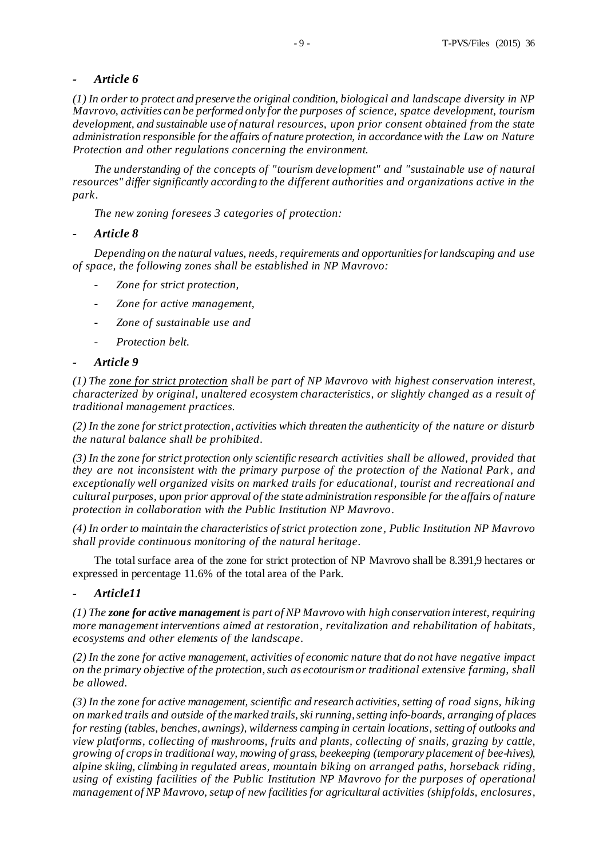## *- Article 6*

*(1) In order to protect and preserve the original condition, biological and landscape diversity in NP Mavrovo, activities can be performed only for the purposes of science, spatce development, tourism development, and sustainable use of natural resources, upon prior consent obtained from the state administration responsible for the affairs of nature protection, in accordance with the Law on Nature Protection and other regulations concerning the environment.*

*The understanding of the concepts of "tourism development" and "sustainable use of natural resources" differ significantly according to the different authorities and organizations active in the park.* 

*The new zoning foresees 3 categories of protection:*

*- Article 8*

*Depending on the natural values, needs, requirements and opportunities for landscaping and use of space, the following zones shall be established in NP Mavrovo:*

- *- Zone for strict protection,*
- *- Zone for active management,*
- *- Zone of sustainable use and*
- *- Protection belt.*

## *- Article 9*

*(1) The zone for strict protection shall be part of NP Mavrovo with highest conservation interest, characterized by original, unaltered ecosystem characteristics, or slightly changed as a result of traditional management practices.*

*(2) In the zone for strict protection, activities which threaten the authenticity of the nature or disturb the natural balance shall be prohibited.*

*(3) In the zone for strict protection only scientific research activities shall be allowed, provided that they are not inconsistent with the primary purpose of the protection of the National Park , and exceptionally well organized visits on marked trails for educational, tourist and recreational and cultural purposes, upon prior approval of the state administration responsible for the affairs of nature protection in collaboration with the Public Institution NP Mavrovo.*

*(4) In order to maintain the characteristics of strict protection zone, Public Institution NP Mavrovo shall provide continuous monitoring of the natural heritage.*

The total surface area of the zone for strict protection of NP Mavrovo shall be 8.391,9 hectares or expressed in percentage 11.6% of the total area of the Park.

## *- Article11*

*(1) The zone for active management is part of NP Mavrovo with high conservation interest, requiring more management interventions aimed at restoration, revitalization and rehabilitation of habitats, ecosystems and other elements of the landscape.*

*(2) In the zone for active management, activities of economic nature that do not have negative impact on the primary objective of the protection, such as ecotourism or traditional extensive farming, shall be allowed.*

*(3) In the zone for active management, scientific and research activities, setting of road signs, hiking on marked trails and outside of the marked trails, ski running, setting info-boards, arranging of places for resting (tables, benches, awnings), wilderness camping in certain locations, setting of outlooks and view platforms, collecting of mushrooms, fruits and plants, collecting of snails, grazing by cattle, growing of crops in traditional way, mowing of grass, beekeeping (temporary placement of bee-hives), alpine skiing, climbing in regulated areas, mountain biking on arranged paths, horseback riding, using of existing facilities of the Public Institution NP Mavrovo for the purposes of operational management of NP Mavrovo, setup of new facilities for agricultural activities (shipfolds, enclosures,*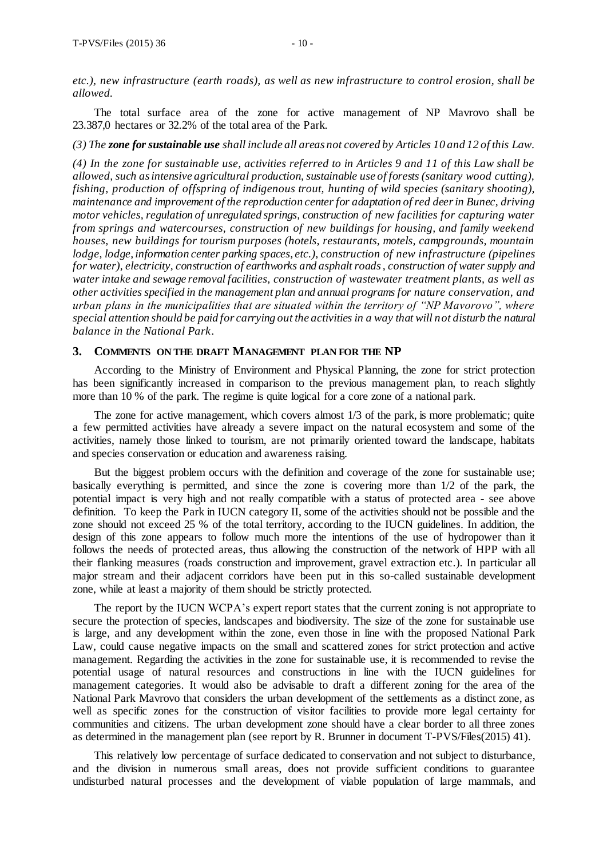*etc.), new infrastructure (earth roads), as well as new infrastructure to control erosion, shall be allowed.*

The total surface area of the zone for active management of NP Mavrovo shall be 23.387,0 hectares or 32.2% of the total area of the Park.

*(3) The zone for sustainable use shall include all areas not covered by Articles 10 and 12 of this Law.*

*(4) In the zone for sustainable use, activities referred to in Articles 9 and 11 of this Law shall be allowed, such as intensive agricultural production, sustainable use of forests (sanitary wood cutting), fishing, production of offspring of indigenous trout, hunting of wild species (sanitary shooting), maintenance and improvement of the reproduction centerfor adaptation of red deer in Bunec, driving motor vehicles, regulation of unregulated springs, construction of new facilities for capturing water from springs and watercourses, construction of new buildings for housing, and family weekend houses, new buildings for tourism purposes (hotels, restaurants, motels, campgrounds, mountain lodge, lodge, information center parking spaces, etc.), construction of new infrastructure (pipelines for water), electricity, construction of earthworks and asphalt roads , construction of water supply and water intake and sewage removal facilities, construction of wastewater treatment plants, as well as other activities specified in the management plan and annual programs for nature conservation, and urban plans in the municipalities that are situated within the territory of "NP Mavorovo", where special attention should be paid for carrying out the activities in a way that will not disturb the natural balance in the National Park.*

## **3. COMMENTS ON THE DRAFT MANAGEMENT PLAN FOR THE NP**

According to the Ministry of Environment and Physical Planning, the zone for strict protection has been significantly increased in comparison to the previous management plan, to reach slightly more than 10 % of the park. The regime is quite logical for a core zone of a national park.

The zone for active management, which covers almost 1/3 of the park, is more problematic; quite a few permitted activities have already a severe impact on the natural ecosystem and some of the activities, namely those linked to tourism, are not primarily oriented toward the landscape, habitats and species conservation or education and awareness raising.

But the biggest problem occurs with the definition and coverage of the zone for sustainable use; basically everything is permitted, and since the zone is covering more than 1/2 of the park, the potential impact is very high and not really compatible with a status of protected area - see above definition. To keep the Park in IUCN category II, some of the activities should not be possible and the zone should not exceed 25 % of the total territory, according to the IUCN guidelines. In addition, the design of this zone appears to follow much more the intentions of the use of hydropower than it follows the needs of protected areas, thus allowing the construction of the network of HPP with all their flanking measures (roads construction and improvement, gravel extraction etc.). In particular all major stream and their adjacent corridors have been put in this so-called sustainable development zone, while at least a majority of them should be strictly protected.

The report by the IUCN WCPA's expert report states that the current zoning is not appropriate to secure the protection of species, landscapes and biodiversity. The size of the zone for sustainable use is large, and any development within the zone, even those in line with the proposed National Park Law, could cause negative impacts on the small and scattered zones for strict protection and active management. Regarding the activities in the zone for sustainable use, it is recommended to revise the potential usage of natural resources and constructions in line with the IUCN guidelines for management categories. It would also be advisable to draft a different zoning for the area of the National Park Mavrovo that considers the urban development of the settlements as a distinct zone, as well as specific zones for the construction of visitor facilities to provide more legal certainty for communities and citizens. The urban development zone should have a clear border to all three zones as determined in the management plan (see report by R. Brunner in document T-PVS/Files(2015) 41).

This relatively low percentage of surface dedicated to conservation and not subject to disturbance, and the division in numerous small areas, does not provide sufficient conditions to guarantee undisturbed natural processes and the development of viable population of large mammals, and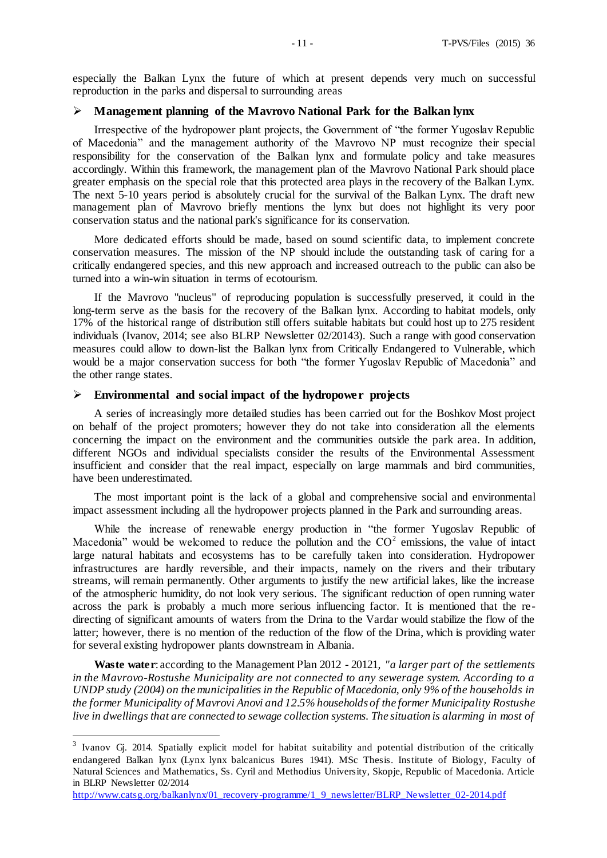especially the Balkan Lynx the future of which at present depends very much on successful reproduction in the parks and dispersal to surrounding areas

## **Management planning of the Mavrovo National Park for the Balkan lynx**

Irrespective of the hydropower plant projects, the Government of "the former Yugoslav Republic of Macedonia" and the management authority of the Mavrovo NP must recognize their special responsibility for the conservation of the Balkan lynx and formulate policy and take measures accordingly. Within this framework, the management plan of the Mavrovo National Park should place greater emphasis on the special role that this protected area plays in the recovery of the Balkan Lynx. The next 5-10 years period is absolutely crucial for the survival of the Balkan Lynx. The draft new management plan of Mavrovo briefly mentions the lynx but does not highlight its very poor conservation status and the national park's significance for its conservation.

More dedicated efforts should be made, based on sound scientific data, to implement concrete conservation measures. The mission of the NP should include the outstanding task of caring for a critically endangered species, and this new approach and increased outreach to the public can also be turned into a win-win situation in terms of ecotourism.

If the Mavrovo "nucleus" of reproducing population is successfully preserved, it could in the long-term serve as the basis for the recovery of the Balkan lynx. According to habitat models, only 17% of the historical range of distribution still offers suitable habitats but could host up to 275 resident individuals (Ivanov, 2014; see also BLRP Newsletter 02/20143). Such a range with good conservation measures could allow to down-list the Balkan lynx from Critically Endangered to Vulnerable, which would be a major conservation success for both "the former Yugoslav Republic of Macedonia" and the other range states.

#### **Environmental and social impact of the hydropower projects**

A series of increasingly more detailed studies has been carried out for the Boshkov Most project on behalf of the project promoters; however they do not take into consideration all the elements concerning the impact on the environment and the communities outside the park area. In addition, different NGOs and individual specialists consider the results of the Environmental Assessment insufficient and consider that the real impact, especially on large mammals and bird communities, have been underestimated.

The most important point is the lack of a global and comprehensive social and environmental impact assessment including all the hydropower projects planned in the Park and surrounding areas.

While the increase of renewable energy production in "the former Yugoslav Republic of Macedonia" would be welcomed to reduce the pollution and the  $CO<sup>2</sup>$  emissions, the value of intact large natural habitats and ecosystems has to be carefully taken into consideration. Hydropower infrastructures are hardly reversible, and their impacts, namely on the rivers and their tributary streams, will remain permanently. Other arguments to justify the new artificial lakes, like the increase of the atmospheric humidity, do not look very serious. The significant reduction of open running water across the park is probably a much more serious influencing factor. It is mentioned that the redirecting of significant amounts of waters from the Drina to the Vardar would stabilize the flow of the latter; however, there is no mention of the reduction of the flow of the Drina, which is providing water for several existing hydropower plants downstream in Albania.

**Waste water**: according to the Management Plan 2012 - 20121*, "a larger part of the settlements in the Mavrovo-Rostushe Municipality are not connected to any sewerage system. According to a UNDP study (2004) on the municipalities in the Republic of Macedonia, only 9% of the households in the former Municipality of Mavrovi Anovi and 12.5% households of the former Municipality Rostushe live in dwellings that are connected to sewage collection systems. The situation is alarming in most of* 

 $\overline{a}$ 

<sup>&</sup>lt;sup>3</sup> Ivanov Gj. 2014. Spatially explicit model for habitat suitability and potential distribution of the critically endangered Balkan lynx (Lynx lynx balcanicus Bures 1941). MSc Thesis. Institute of Biology, Faculty of Natural Sciences and Mathematics, Ss. Cyril and Methodius University, Skopje, Republic of Macedonia. Article in BLRP Newsletter 02/2014

[http://www.catsg.org/balkanlynx/01\\_recovery-programme/1\\_9\\_newsletter/BLRP\\_Newsletter\\_02-2014.pdf](http://www.catsg.org/balkanlynx/01_recovery-programme/1_9_newsletter/BLRP_Newsletter_02-2014.pdf)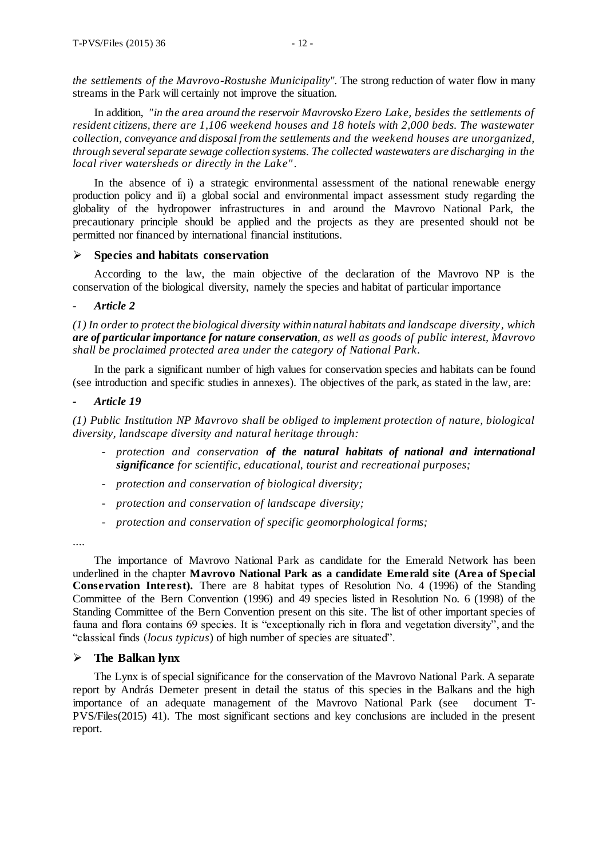*the settlements of the Mavrovo-Rostushe Municipality*". The strong reduction of water flow in many streams in the Park will certainly not improve the situation.

In addition, *"in the area around the reservoir Mavrovsko Ezero Lake, besides the settlements of resident citizens, there are 1,106 weekend houses and 18 hotels with 2,000 beds. The wastewater collection, conveyance and disposal from the settlements and the weekend houses are unorganized, through several separate sewage collection systems. The collected wastewaters are discharging in the local river watersheds or directly in the Lake"*.

In the absence of i) a strategic environmental assessment of the national renewable energy production policy and ii) a global social and environmental impact assessment study regarding the globality of the hydropower infrastructures in and around the Mavrovo National Park, the precautionary principle should be applied and the projects as they are presented should not be permitted nor financed by international financial institutions.

#### **Species and habitats conservation**

According to the law, the main objective of the declaration of the Mavrovo NP is the conservation of the biological diversity, namely the species and habitat of particular importance

## *- Article 2*

*(1) In order to protect the biological diversity within natural habitats and landscape diversity, which are of particular importance for nature conservation, as well as goods of public interest, Mavrovo shall be proclaimed protected area under the category of National Park.*

In the park a significant number of high values for conservation species and habitats can be found (see introduction and specific studies in annexes). The objectives of the park, as stated in the law, are:

#### *- Article 19*

*(1) Public Institution NP Mavrovo shall be obliged to implement protection of nature, biological diversity, landscape diversity and natural heritage through:*

- *- protection and conservation of the natural habitats of national and international significance for scientific, educational, tourist and recreational purposes;*
- *- protection and conservation of biological diversity;*
- *- protection and conservation of landscape diversity;*
- *- protection and conservation of specific geomorphological forms;*

....

The importance of Mavrovo National Park as candidate for the Emerald Network has been underlined in the chapter **Mavrovo National Park as a candidate Emerald site (Area of Special Conservation Interest).** There are 8 habitat types of Resolution No. 4 (1996) of the Standing Committee of the Bern Convention (1996) and 49 species listed in Resolution No. 6 (1998) of the Standing Committee of the Bern Convention present on this site. The list of other important species of fauna and flora contains 69 species. It is "exceptionally rich in flora and vegetation diversity", and the "classical finds (*locus typicus*) of high number of species are situated".

## **The Balkan lynx**

The Lynx is of special significance for the conservation of the Mavrovo National Park. A separate report by András Demeter present in detail the status of this species in the Balkans and the high importance of an adequate management of the Mavrovo National Park (see document T-PVS/Files(2015) 41). The most significant sections and key conclusions are included in the present report.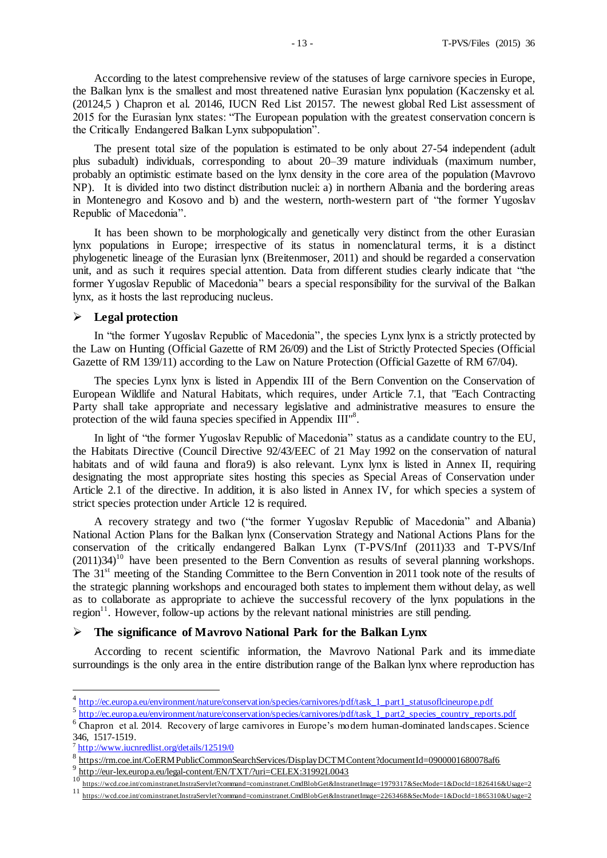According to the latest comprehensive review of the statuses of large carnivore species in Europe, the Balkan lynx is the smallest and most threatened native Eurasian lynx population (Kaczensky et al. (20124,5 ) Chapron et al. 20146, IUCN Red List 20157. The newest global Red List assessment of 2015 for the Eurasian lynx states: "The European population with the greatest conservation concern is the Critically Endangered Balkan Lynx subpopulation".

The present total size of the population is estimated to be only about 27-54 independent (adult plus subadult) individuals, corresponding to about 20–39 mature individuals (maximum number, probably an optimistic estimate based on the lynx density in the core area of the population (Mavrovo NP). It is divided into two distinct distribution nuclei: a) in northern Albania and the bordering areas in Montenegro and Kosovo and b) and the western, north-western part of "the former Yugoslav Republic of Macedonia".

It has been shown to be morphologically and genetically very distinct from the other Eurasian lynx populations in Europe; irrespective of its status in nomenclatural terms, it is a distinct phylogenetic lineage of the Eurasian lynx (Breitenmoser, 2011) and should be regarded a conservation unit, and as such it requires special attention. Data from different studies clearly indicate that "the former Yugoslav Republic of Macedonia" bears a special responsibility for the survival of the Balkan lynx, as it hosts the last reproducing nucleus.

#### **Legal protection**

In "the former Yugoslav Republic of Macedonia", the species Lynx lynx is a strictly protected by the Law on Hunting (Official Gazette of RM 26/09) and the List of Strictly Protected Species (Official Gazette of RM 139/11) according to the Law on Nature Protection (Official Gazette of RM 67/04).

The species Lynx lynx is listed in Appendix III of the Bern Convention on the Conservation of European Wildlife and Natural Habitats, which requires, under Article 7.1, that "Each Contracting Party shall take appropriate and necessary legislative and administrative measures to ensure the protection of the wild fauna species specified in Appendix III<sup>18</sup>.

In light of "the former Yugoslav Republic of Macedonia" status as a candidate country to the EU, the Habitats Directive (Council Directive 92/43/EEC of 21 May 1992 on the conservation of natural habitats and of wild fauna and flora9) is also relevant. Lynx lynx is listed in Annex II, requiring designating the most appropriate sites hosting this species as Special Areas of Conservation under Article 2.1 of the directive. In addition, it is also listed in Annex IV, for which species a system of strict species protection under Article 12 is required.

A recovery strategy and two ("the former Yugoslav Republic of Macedonia" and Albania) National Action Plans for the Balkan lynx (Conservation Strategy and National Actions Plans for the conservation of the critically endangered Balkan Lynx (T-PVS/Inf (2011)33 and T-PVS/Inf  $(2011)34$ <sup>10</sup> have been presented to the Bern Convention as results of several planning workshops. The 31<sup>st</sup> meeting of the Standing Committee to the Bern Convention in 2011 took note of the results of the strategic planning workshops and encouraged both states to implement them without delay, as well as to collaborate as appropriate to achieve the successful recovery of the lynx populations in the region $11$ . However, follow-up actions by the relevant national ministries are still pending.

## **The significance of Mavrovo National Park for the Balkan Lynx**

According to recent scientific information, the Mavrovo National Park and its immediate surroundings is the only area in the entire distribution range of the Balkan lynx where reproduction has

<sup>&</sup>lt;sup>4</sup><br>[http://ec.europa.eu/environment/nature/conservation/species/carnivores/pdf/task\\_1\\_part1\\_statusoflcineurope.pdf](http://ec.europa.eu/environment/nature/conservation/species/carnivores/pdf/task_1_part1_statusoflcineurope.pdf)

<sup>&</sup>lt;sup>5</sup> [http://ec.europa.eu/environment/nature/conservation/species/carnivores/pdf/task\\_1\\_part2\\_species\\_country\\_reports.pdf](http://ec.europa.eu/environment/nature/conservation/species/carnivores/pdf/task_1_part2_species_country_reports.pdf)

<sup>&</sup>lt;sup>6</sup> Chapron et al. 2014. Recovery of large carnivores in Europe's modern human-dominated landscapes. Science 346, 1517-1519.

<sup>&</sup>lt;sup>7</sup> <http://www.iucnredlist.org/details/12519/0>

<sup>&</sup>lt;sup>8</sup> https://rm.coe.int/CoERM PublicCommonSearchServices/DisplayDCTM Content?documentId=0900001680078af6 9

 $\frac{9 \text{ http://eur-lex.europa.eu/legal-content/EN/TXT/2uri=CELEX:31992L0043}}{10 \text{ y} \cdot \text{http://eur-lex.europa.eu/legal-content/EN/TXT/2uri=CELEX:31992L0043}}$ 

<https://wcd.coe.int/com.instranet.InstraServlet?command=com.instranet.CmdBlobGet&InstranetImage=1979317&SecMode=1&DocId=1826416&Usage=2>

<sup>11</sup> <https://wcd.coe.int/com.instranet.InstraServlet?command=com.instranet.CmdBlobGet&InstranetImage=2263468&SecMode=1&DocId=1865310&Usage=2>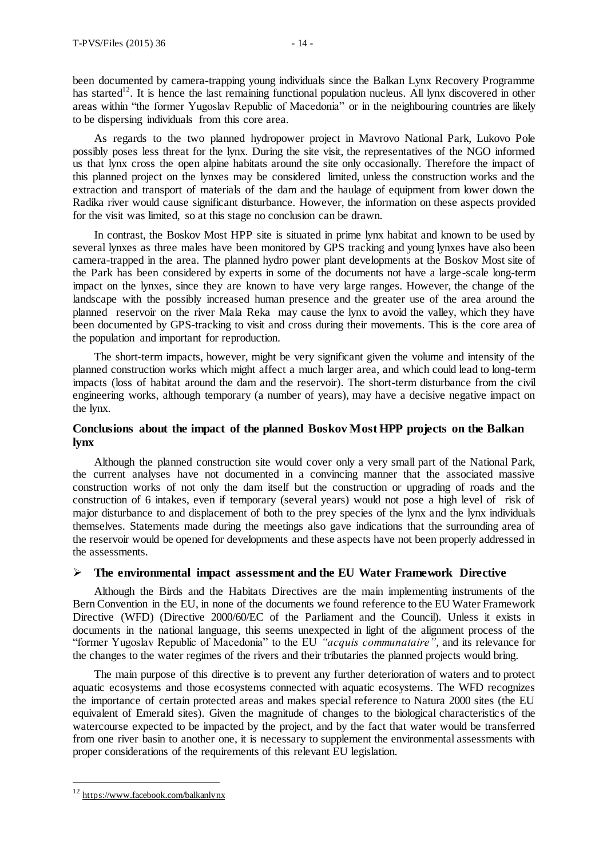been documented by camera-trapping young individuals since the Balkan Lynx Recovery Programme has started<sup>12</sup>. It is hence the last remaining functional population nucleus. All lynx discovered in other areas within "the former Yugoslav Republic of Macedonia" or in the neighbouring countries are likely to be dispersing individuals from this core area.

As regards to the two planned hydropower project in Mavrovo National Park, Lukovo Pole possibly poses less threat for the lynx. During the site visit, the representatives of the NGO informed us that lynx cross the open alpine habitats around the site only occasionally. Therefore the impact of this planned project on the lynxes may be considered limited, unless the construction works and the extraction and transport of materials of the dam and the haulage of equipment from lower down the Radika river would cause significant disturbance. However, the information on these aspects provided for the visit was limited, so at this stage no conclusion can be drawn.

In contrast, the Boskov Most HPP site is situated in prime lynx habitat and known to be used by several lynxes as three males have been monitored by GPS tracking and young lynxes have also been camera-trapped in the area. The planned hydro power plant developments at the Boskov Most site of the Park has been considered by experts in some of the documents not have a large-scale long-term impact on the lynxes, since they are known to have very large ranges. However, the change of the landscape with the possibly increased human presence and the greater use of the area around the planned reservoir on the river Mala Reka may cause the lynx to avoid the valley, which they have been documented by GPS-tracking to visit and cross during their movements. This is the core area of the population and important for reproduction.

The short-term impacts, however, might be very significant given the volume and intensity of the planned construction works which might affect a much larger area, and which could lead to long-term impacts (loss of habitat around the dam and the reservoir). The short-term disturbance from the civil engineering works, although temporary (a number of years), may have a decisive negative impact on the lynx.

## **Conclusions about the impact of the planned Boskov Most HPP projects on the Balkan lynx**

Although the planned construction site would cover only a very small part of the National Park, the current analyses have not documented in a convincing manner that the associated massive construction works of not only the dam itself but the construction or upgrading of roads and the construction of 6 intakes, even if temporary (several years) would not pose a high level of risk of major disturbance to and displacement of both to the prey species of the lynx and the lynx individuals themselves. Statements made during the meetings also gave indications that the surrounding area of the reservoir would be opened for developments and these aspects have not been properly addressed in the assessments.

## **The environmental impact assessment and the EU Water Framework Directive**

Although the Birds and the Habitats Directives are the main implementing instruments of the Bern Convention in the EU, in none of the documents we found reference to the EU Water Framework Directive (WFD) (Directive 2000/60/EC of the Parliament and the Council). Unless it exists in documents in the national language, this seems unexpected in light of the alignment process of the "former Yugoslav Republic of Macedonia" to the EU *"acquis communataire"*, and its relevance for the changes to the water regimes of the rivers and their tributaries the planned projects would bring.

The main purpose of this directive is to prevent any further deterioration of waters and to protect aquatic ecosystems and those ecosystems connected with aquatic ecosystems. The WFD recognizes the importance of certain protected areas and makes special reference to Natura 2000 sites (the EU equivalent of Emerald sites). Given the magnitude of changes to the biological characteristics of the watercourse expected to be impacted by the project, and by the fact that water would be transferred from one river basin to another one, it is necessary to supplement the environmental assessments with proper considerations of the requirements of this relevant EU legislation.

 $\overline{a}$ 

<sup>12</sup> <https://www.facebook.com/balkanlynx>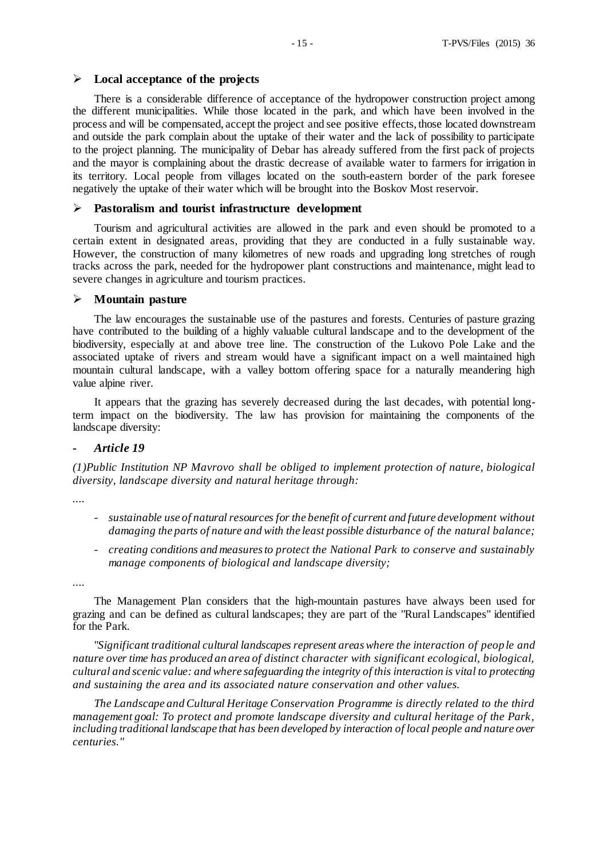## **Local acceptance of the projects**

There is a considerable difference of acceptance of the hydropower construction project among the different municipalities. While those located in the park, and which have been involved in the process and will be compensated, accept the project and see positive effects, those located downstream and outside the park complain about the uptake of their water and the lack of possibility to participate to the project planning. The municipality of Debar has already suffered from the first pack of projects and the mayor is complaining about the drastic decrease of available water to farmers for irrigation in its territory. Local people from villages located on the south-eastern border of the park foresee negatively the uptake of their water which will be brought into the Boskov Most reservoir.

## **Pastoralism and tourist infrastructure development**

Tourism and agricultural activities are allowed in the park and even should be promoted to a certain extent in designated areas, providing that they are conducted in a fully sustainable way. However, the construction of many kilometres of new roads and upgrading long stretches of rough tracks across the park, needed for the hydropower plant constructions and maintenance, might lead to severe changes in agriculture and tourism practices.

## **Mountain pasture**

The law encourages the sustainable use of the pastures and forests. Centuries of pasture grazing have contributed to the building of a highly valuable cultural landscape and to the development of the biodiversity, especially at and above tree line. The construction of the Lukovo Pole Lake and the associated uptake of rivers and stream would have a significant impact on a well maintained high mountain cultural landscape, with a valley bottom offering space for a naturally meandering high value alpine river.

It appears that the grazing has severely decreased during the last decades, with potential longterm impact on the biodiversity. The law has provision for maintaining the components of the landscape diversity:

## *- Article 19*

*(1)Public Institution NP Mavrovo shall be obliged to implement protection of nature, biological diversity, landscape diversity and natural heritage through:*

*....*

- *- sustainable use of natural resources for the benefit of current and future development without damaging the parts of nature and with the least possible disturbance of the natural balance;*
- *- creating conditions and measures to protect the National Park to conserve and sustainably manage components of biological and landscape diversity;*

*....*

The Management Plan considers that the high-mountain pastures have always been used for grazing and can be defined as cultural landscapes; they are part of the "Rural Landscapes" identified for the Park.

"*Significant traditional cultural landscapes represent areas where the interaction of people and nature over time has produced an area of distinct character with significant ecological, biological, cultural and scenic value: and where safeguarding the integrity of this interaction is vital to protecting and sustaining the area and its associated nature conservation and other values.*

*The Landscape and Cultural Heritage Conservation Programme is directly related to the third management goal: To protect and promote landscape diversity and cultural heritage of the Park, including traditional landscape that has been developed by interaction of local people and nature over centuries."*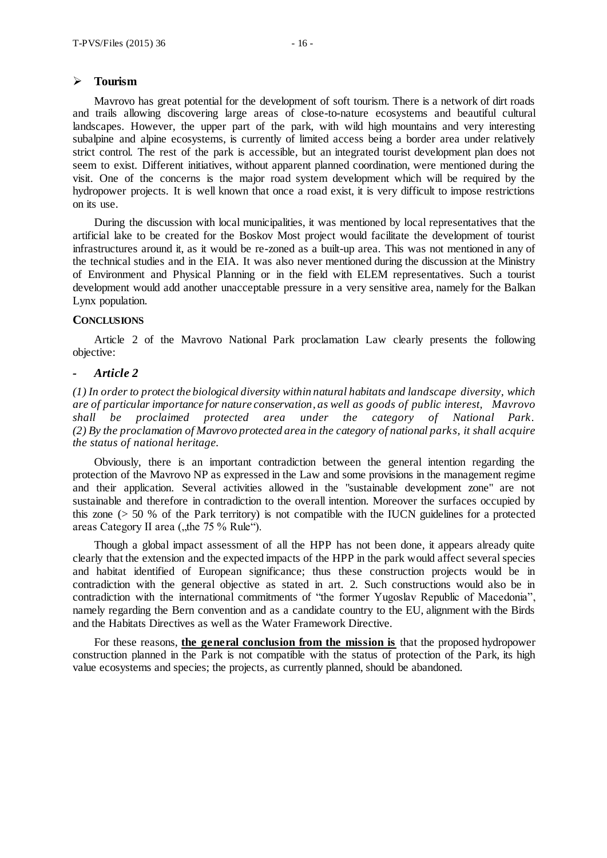## **Tourism**

Mavrovo has great potential for the development of soft tourism. There is a network of dirt roads and trails allowing discovering large areas of close-to-nature ecosystems and beautiful cultural landscapes. However, the upper part of the park, with wild high mountains and very interesting subalpine and alpine ecosystems, is currently of limited access being a border area under relatively strict control. The rest of the park is accessible, but an integrated tourist development plan does not seem to exist. Different initiatives, without apparent planned coordination, were mentioned during the visit. One of the concerns is the major road system development which will be required by the hydropower projects. It is well known that once a road exist, it is very difficult to impose restrictions on its use.

During the discussion with local municipalities, it was mentioned by local representatives that the artificial lake to be created for the Boskov Most project would facilitate the development of tourist infrastructures around it, as it would be re-zoned as a built-up area. This was not mentioned in any of the technical studies and in the EIA. It was also never mentioned during the discussion at the Ministry of Environment and Physical Planning or in the field with ELEM representatives. Such a tourist development would add another unacceptable pressure in a very sensitive area, namely for the Balkan Lynx population.

#### **CONCLUSIONS**

Article 2 of the Mavrovo National Park proclamation Law clearly presents the following objective:

#### *- Article 2*

*(1) In order to protect the biological diversity within natural habitats and landscape diversity, which are of particular importance for nature conservation, as well as goods of public interest, Mavrovo shall be proclaimed protected area under the category of National Park. (2) By the proclamation of Mavrovo protected area in the category of national parks, it shall acquire the status of national heritage.*

Obviously, there is an important contradiction between the general intention regarding the protection of the Mavrovo NP as expressed in the Law and some provisions in the management regime and their application. Several activities allowed in the "sustainable development zone" are not sustainable and therefore in contradiction to the overall intention. Moreover the surfaces occupied by this zone  $(> 50 \%)$  of the Park territory) is not compatible with the IUCN guidelines for a protected areas Category II area ( $,$ the 75 % Rule").

Though a global impact assessment of all the HPP has not been done, it appears already quite clearly that the extension and the expected impacts of the HPP in the park would affect several species and habitat identified of European significance; thus these construction projects would be in contradiction with the general objective as stated in art. 2. Such constructions would also be in contradiction with the international commitments of "the former Yugoslav Republic of Macedonia", namely regarding the Bern convention and as a candidate country to the EU, alignment with the Birds and the Habitats Directives as well as the Water Framework Directive.

For these reasons, **the general conclusion from the mission is** that the proposed hydropower construction planned in the Park is not compatible with the status of protection of the Park, its high value ecosystems and species; the projects, as currently planned, should be abandoned.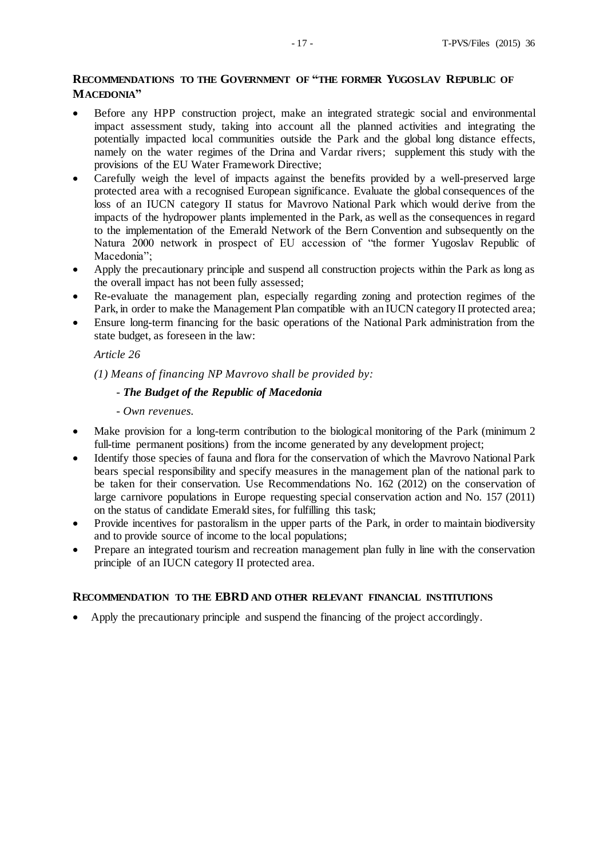## **RECOMMENDATIONS TO THE GOVERNMENT OF "THE FORMER YUGOSLAV REPUBLIC OF MACEDONIA"**

- Before any HPP construction project, make an integrated strategic social and environmental impact assessment study, taking into account all the planned activities and integrating the potentially impacted local communities outside the Park and the global long distance effects, namely on the water regimes of the Drina and Vardar rivers; supplement this study with the provisions of the EU Water Framework Directive;
- Carefully weigh the level of impacts against the benefits provided by a well-preserved large protected area with a recognised European significance. Evaluate the global consequences of the loss of an IUCN category II status for Mavrovo National Park which would derive from the impacts of the hydropower plants implemented in the Park, as well as the consequences in regard to the implementation of the Emerald Network of the Bern Convention and subsequently on the Natura 2000 network in prospect of EU accession of "the former Yugoslav Republic of Macedonia";
- Apply the precautionary principle and suspend all construction projects within the Park as long as the overall impact has not been fully assessed;
- Re-evaluate the management plan, especially regarding zoning and protection regimes of the Park, in order to make the Management Plan compatible with an IUCN category II protected area;
- Ensure long-term financing for the basic operations of the National Park administration from the state budget, as foreseen in the law:

## *Article 26*

*(1) Means of financing NP Mavrovo shall be provided by:*

## *- The Budget of the Republic of Macedonia*

- *- Own revenues.*
- Make provision for a long-term contribution to the biological monitoring of the Park (minimum 2) full-time permanent positions) from the income generated by any development project;
- Identify those species of fauna and flora for the conservation of which the Mavrovo National Park bears special responsibility and specify measures in the management plan of the national park to be taken for their conservation. Use Recommendations No. 162 (2012) on the conservation of large carnivore populations in Europe requesting special conservation action and No. 157 (2011) on the status of candidate Emerald sites, for fulfilling this task;
- Provide incentives for pastoralism in the upper parts of the Park, in order to maintain biodiversity and to provide source of income to the local populations;
- Prepare an integrated tourism and recreation management plan fully in line with the conservation principle of an IUCN category II protected area.

## **RECOMMENDATION TO THE EBRD AND OTHER RELEVANT FINANCIAL INSTITUTIONS**

Apply the precautionary principle and suspend the financing of the project accordingly.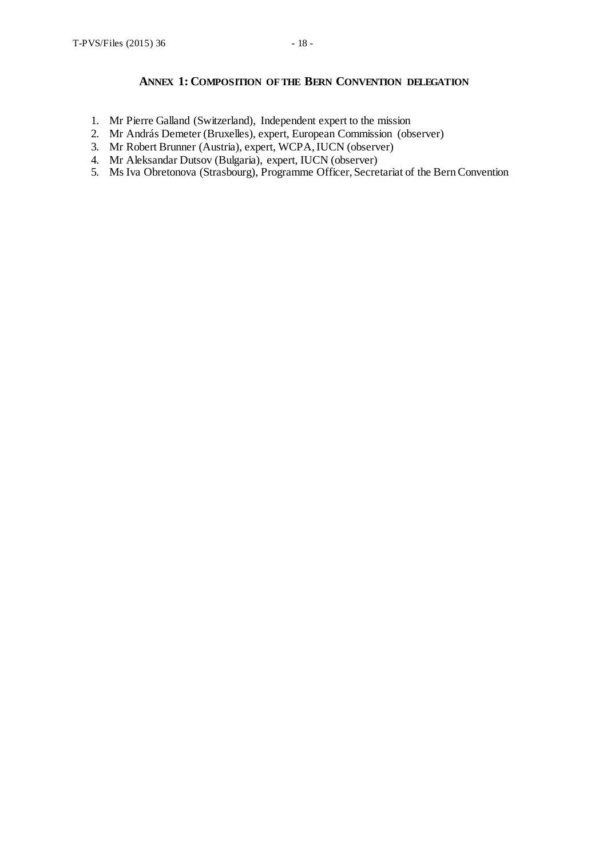## **ANNEX 1: COMPOSITION OF THE BERN CONVENTION DELEGATION**

- 1. Mr Pierre Galland (Switzerland), Independent expert to the mission
- 2. Mr András Demeter (Bruxelles), expert, European Commission (observer)
- 3. Mr Robert Brunner (Austria), expert, WCPA, IUCN (observer)
- 4. Mr Aleksandar Dutsov (Bulgaria), expert, IUCN (observer)
- 5. Ms Iva Obretonova (Strasbourg), Programme Officer, Secretariat of the Bern Convention